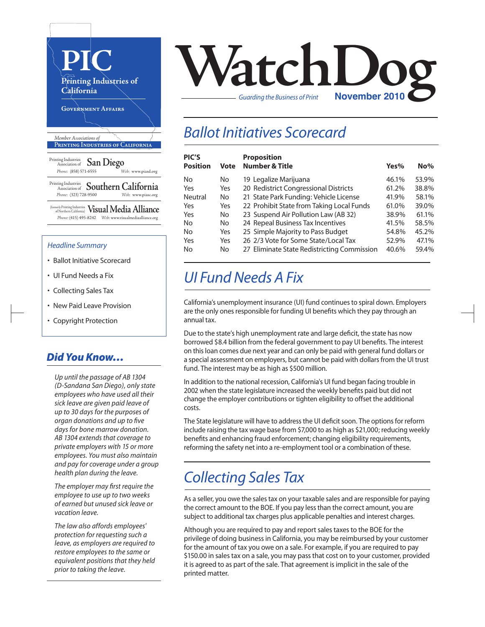

- UI Fund Needs a Fix
- Collecting Sales Tax
- New Paid Leave Provision
- Copyright Protection

#### *Did You Know…*

*Up until the passage of AB 1304 (D-Sandana San Diego), only state employees who have used all their sick leave are given paid leave of up to 30 days for the purposes of organ donations and up to five days for bone marrow donation. AB 1304 extends that coverage to private employers with 15 or more employees. You must also maintain and pay for coverage under a group health plan during the leave.*

*The employer may first require the employee to use up to two weeks of earned but unused sick leave or vacation leave.* 

*The law also affords employees' protection for requesting such a leave, as employers are required to restore employees to the same or equivalent positions that they held prior to taking the leave.*



### *Ballot Initiatives Scorecard*

| <b>PIC'S</b><br>Position | Vote | <b>Proposition</b><br><b>Number &amp; Title</b> | Yes%  | $No\%$ |
|--------------------------|------|-------------------------------------------------|-------|--------|
| No                       | No   | 19 Legalize Marijuana                           | 46.1% | 53.9%  |
| Yes                      | Yes  | 20 Redistrict Congressional Districts           | 61.2% | 38.8%  |
| Neutral                  | No   | 21 State Park Funding: Vehicle License          | 41.9% | 58.1%  |
| Yes                      | Yes  | 22 Prohibit State from Taking Local Funds       | 61.0% | 39.0%  |
| Yes                      | No.  | 23 Suspend Air Pollution Law (AB 32)            | 38.9% | 61.1%  |
| No                       | No   | 24 Repeal Business Tax Incentives               | 41.5% | 58.5%  |
| No                       | Yes  | 25 Simple Majority to Pass Budget               | 54.8% | 45.2%  |
| Yes                      | Yes  | 26 2/3 Vote for Some State/Local Tax            | 52.9% | 47.1%  |
| No                       | No   | 27 Eliminate State Redistricting Commission     | 40.6% | 59.4%  |
|                          |      |                                                 |       |        |

# *UI Fund Needs A Fix*

California's unemployment insurance (UI) fund continuesto spiral down. Employers are the only ones responsible for funding UI benefits which they pay through an annual tax.

Due to the state's high unemployment rate and large deficit, the state has now borrowed \$8.4 billion from the federal government to pay UI benefits. The interest on thisloan comes due next year and can only be paid with general fund dollars or a special assessment on employers, but cannot be paid with dollars from the UI trust fund. The interest may be as high as \$500 million.

In addition to the national recession, California's UI fund began facing trouble in 2002 when the state legislature increased the weekly benefits paid but did not change the employer contributions or tighten eligibility to offset the additional costs.

The State legislature will have to address the UI deficit soon. The options for reform include raising the tax wage base from \$7,000 to as high as \$21,000; reducing weekly benefits and enhancing fraud enforcement; changing eligibility requirements, reforming the safety net into a re-employment tool or a combination of these.

### *Collecting Sales Tax*

As a seller, you owe the sales tax on your taxable sales and are responsible for paying the correct amount to the BOE. If you pay lessthan the correct amount, you are subject to additional tax charges plus applicable penalties and interest charges.

Although you are required to pay and report sales taxes to the BOE for the privilege of doing businessin California, you may be reimbursed by your customer for the amount of tax you owe on a sale. For example, if you are required to pay \$150.00 in sales tax on a sale, you may pass that cost on to your customer, provided it is agreed to as part of the sale. That agreement is implicit in the sale of the printed matter.